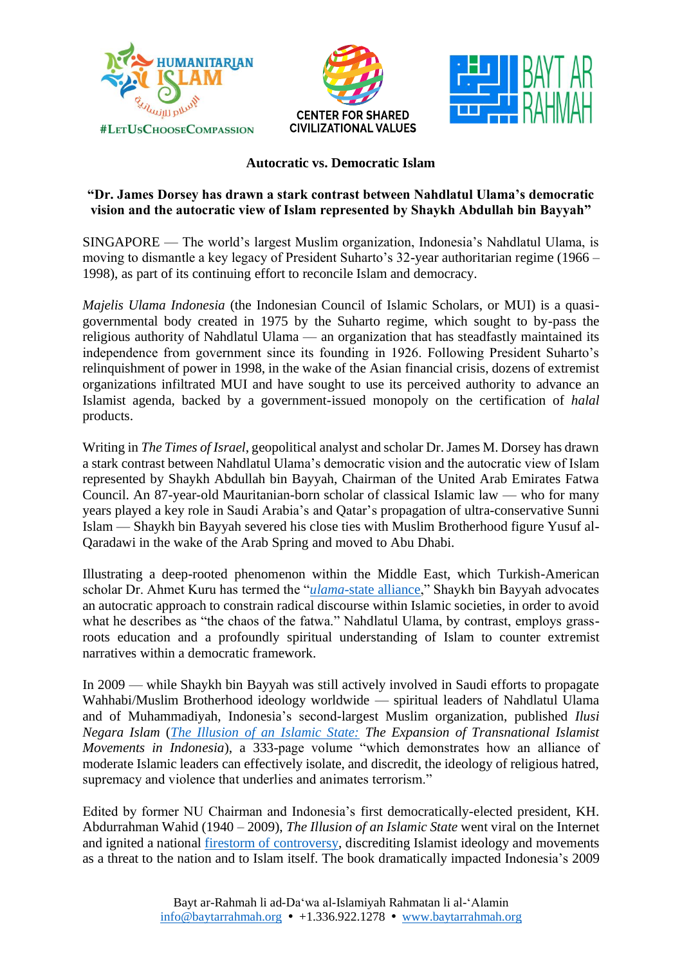





## **Autocratic vs. Democratic Islam**

## **"Dr. James Dorsey has drawn a stark contrast between Nahdlatul Ulama's democratic vision and the autocratic view of Islam represented by Shaykh Abdullah bin Bayyah"**

SINGAPORE — The world's largest Muslim organization, Indonesia's Nahdlatul Ulama, is moving to dismantle a key legacy of President Suharto's 32-year authoritarian regime (1966 – 1998), as part of its continuing effort to reconcile Islam and democracy.

*Majelis Ulama Indonesia* (the Indonesian Council of Islamic Scholars, or MUI) is a quasigovernmental body created in 1975 by the Suharto regime, which sought to by-pass the religious authority of Nahdlatul Ulama — an organization that has steadfastly maintained its independence from government since its founding in 1926. Following President Suharto's relinquishment of power in 1998, in the wake of the Asian financial crisis, dozens of extremist organizations infiltrated MUI and have sought to use its perceived authority to advance an Islamist agenda, backed by a government-issued monopoly on the certification of *halal* products.

Writing in *The Times of Israel*, geopolitical analyst and scholar Dr. James M. Dorsey has drawn a stark contrast between Nahdlatul Ulama's democratic vision and the autocratic view of Islam represented by Shaykh Abdullah bin Bayyah, Chairman of the United Arab Emirates Fatwa Council. An 87-year-old Mauritanian-born scholar of classical Islamic law — who for many years played a key role in Saudi Arabia's and Qatar's propagation of ultra-conservative Sunni Islam — Shaykh bin Bayyah severed his close ties with Muslim Brotherhood figure Yusuf al-Qaradawi in the wake of the Arab Spring and moved to Abu Dhabi.

Illustrating a deep-rooted phenomenon within the Middle East, which Turkish-American scholar Dr. Ahmet Kuru has termed the "*ulama*-state [alliance,](https://baytarrahmah.org/2021_09_23_humanitarian-islam-is-different/)" Shaykh bin Bayyah advocates an autocratic approach to constrain radical discourse within Islamic societies, in order to avoid what he describes as "the chaos of the fatwa." Nahdlatul Ulama, by contrast, employs grassroots education and a profoundly spiritual understanding of Islam to counter extremist narratives within a democratic framework.

In 2009 — while Shaykh bin Bayyah was still actively involved in Saudi efforts to propagate Wahhabi/Muslim Brotherhood ideology worldwide — spiritual leaders of Nahdlatul Ulama and of Muhammadiyah, Indonesia's second-largest Muslim organization, published *Ilusi Negara Islam* (*[The Illusion of an Islamic State:](https://www.libforall.org/lfa/media/_books/The-Illusion-of-an-Islamic-State_Sample-Chapters.pdf) The Expansion of Transnational Islamist Movements in Indonesia*), a 333-page volume "which demonstrates how an alliance of moderate Islamic leaders can effectively isolate, and discredit, the ideology of religious hatred, supremacy and violence that underlies and animates terrorism."

Edited by former NU Chairman and Indonesia's first democratically-elected president, KH. Abdurrahman Wahid (1940 – 2009), *The Illusion of an Islamic State* went viral on the Internet and ignited a national [firestorm of controversy,](https://libforall.org/ini-book-launch/) discrediting Islamist ideology and movements as a threat to the nation and to Islam itself. The book dramatically impacted Indonesia's 2009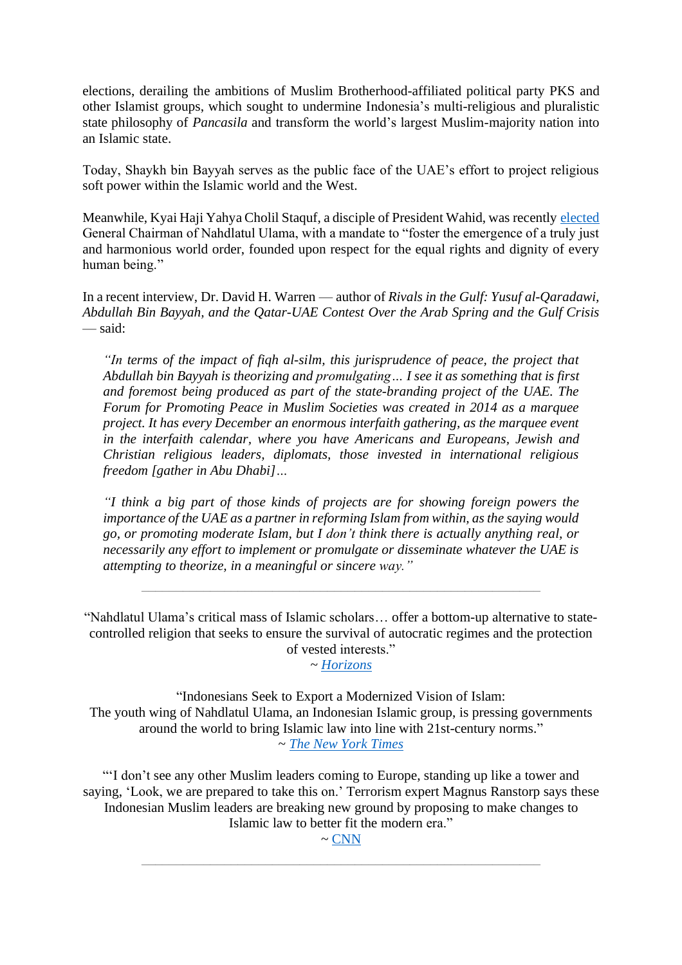elections, derailing the ambitions of Muslim Brotherhood-affiliated political party PKS and other Islamist groups, which sought to undermine Indonesia's multi-religious and pluralistic state philosophy of *Pancasila* and transform the world's largest Muslim-majority nation into an Islamic state.

Today, Shaykh bin Bayyah serves as the public face of the UAE's effort to project religious soft power within the Islamic world and the West.

Meanwhile, Kyai Haji Yahya Cholil Staquf, a disciple of President Wahid, was recently [elected](https://baytarrahmah.org/2021_12_24_humanitarian-islam-co-founder-elected-general-chairman-of-nahdlatul-ulama/) General Chairman of Nahdlatul Ulama, with a mandate to "foster the emergence of a truly just and harmonious world order, founded upon respect for the equal rights and dignity of every human being."

In a recent interview, Dr. David H. Warren — author of *Rivals in the Gulf: Yusuf al-Qaradawi, Abdullah Bin Bayyah, and the Qatar-UAE Contest Over the Arab Spring and the Gulf Crisis* — said:

*"In terms of the impact of fiqh al-silm, this jurisprudence of peace, the project that Abdullah bin Bayyah is theorizing and promulgating… I see it as something that is first and foremost being produced as part of the state-branding project of the UAE. The Forum for Promoting Peace in Muslim Societies was created in 2014 as a marquee project. It has every December an enormous interfaith gathering, as the marquee event in the interfaith calendar, where you have Americans and Europeans, Jewish and Christian religious leaders, diplomats, those invested in international religious freedom [gather in Abu Dhabi]…*

*"I think a big part of those kinds of projects are for showing foreign powers the importance of the UAE as a partner in reforming Islam from within, as the saying would go, or promoting moderate Islam, but I don't think there is actually anything real, or necessarily any effort to implement or promulgate or disseminate whatever the UAE is attempting to theorize, in a meaningful or sincere way."*

\_\_\_\_\_\_\_\_\_\_\_\_\_\_\_\_\_\_\_\_\_\_\_\_\_\_\_\_\_\_\_\_\_\_\_\_\_\_\_\_\_\_\_\_\_\_\_\_\_\_\_\_\_\_\_\_\_\_

"Nahdlatul Ulama's critical mass of Islamic scholars… offer a bottom-up alternative to statecontrolled religion that seeks to ensure the survival of autocratic regimes and the protection of vested interests."

~ *[Horizons](https://baytarrahmah.org/2021_04_14_shifting-youth-attitudes-threaten-state-controlled-interpretations-of-islam/)*

"Indonesians Seek to Export a Modernized Vision of Islam: The youth wing of Nahdlatul Ulama, an Indonesian Islamic group, is pressing governments around the world to bring Islamic law into line with 21st-century norms." ~ *The New York [Times](https://www.baytarrahmah.org/media/2017/nyt_Indonesians-Seek-to-Export-a-Modernized-Vision-of-Islam_05-01-17.pdf)*

"'I don't see any other Muslim leaders coming to Europe, standing up like a tower and saying, 'Look, we are prepared to take this on.' Terrorism expert Magnus Ranstorp says these Indonesian Muslim leaders are breaking new ground by proposing to make changes to Islamic law to better fit the modern era."

> $\sim$  [CNN](https://www.youtube.com/watch?v=iHqXJEHlzRg&feature=emb_title&ab_channel=LibForAllFoundation) \_\_\_\_\_\_\_\_\_\_\_\_\_\_\_\_\_\_\_\_\_\_\_\_\_\_\_\_\_\_\_\_\_\_\_\_\_\_\_\_\_\_\_\_\_\_\_\_\_\_\_\_\_\_\_\_\_\_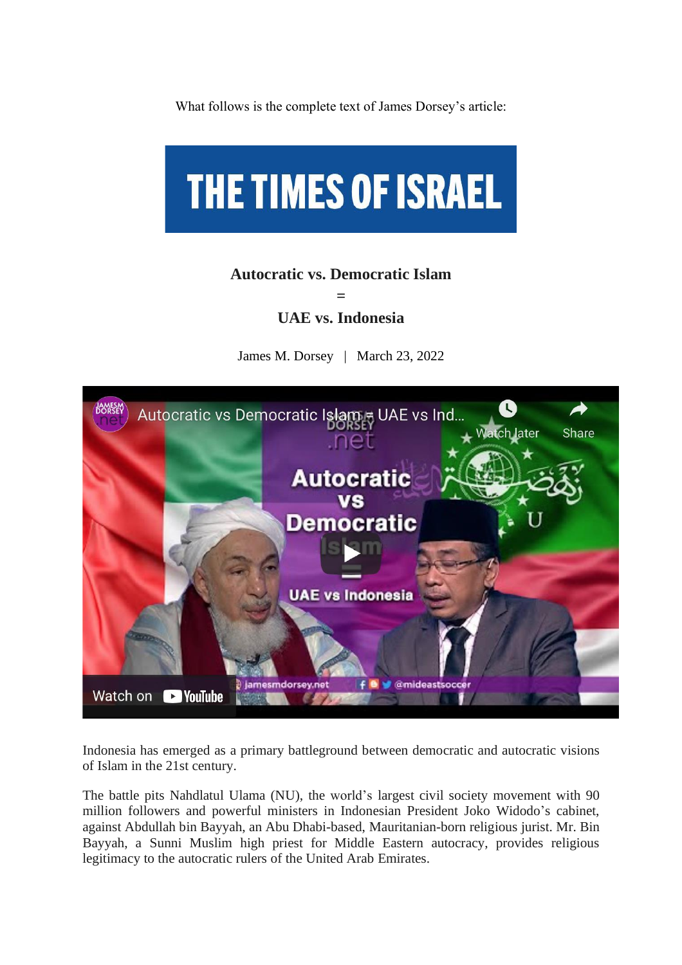What follows is the complete text of James Dorsey's article:



## **Autocratic vs. Democratic Islam**

**= UAE vs. Indonesia**

James M. Dorsey | March 23, 2022



Indonesia has emerged as a primary battleground between democratic and autocratic visions of Islam in the 21st century.

The battle pits Nahdlatul Ulama (NU), the world's largest civil society movement with 90 million followers and powerful ministers in Indonesian President Joko Widodo's cabinet, against Abdullah bin Bayyah, an Abu Dhabi-based, Mauritanian-born religious jurist. Mr. Bin Bayyah, a Sunni Muslim high priest for Middle Eastern autocracy, provides religious legitimacy to the autocratic rulers of the United Arab Emirates.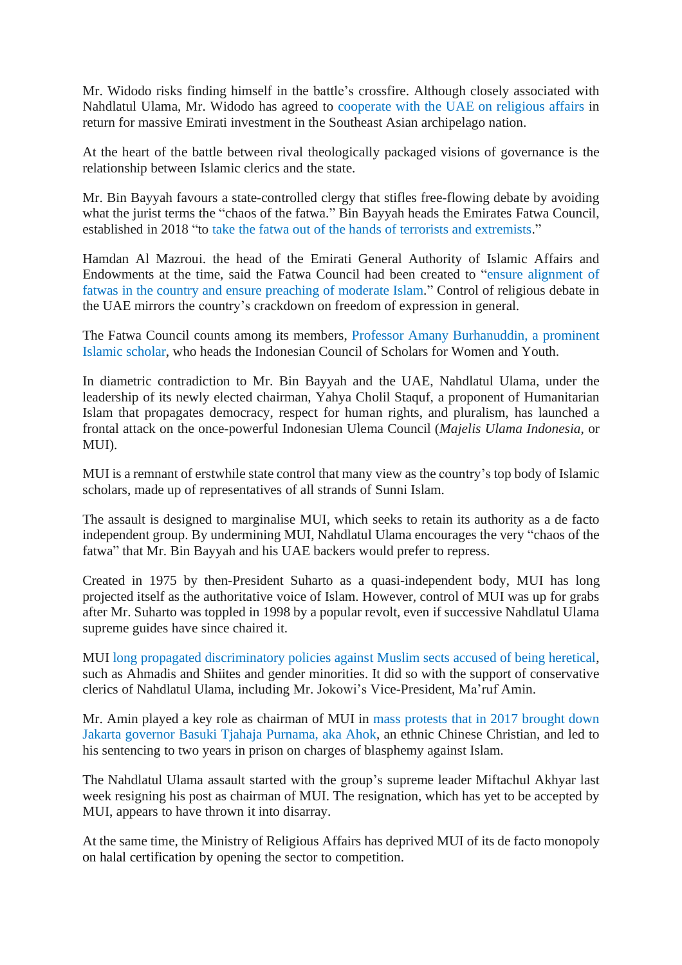Mr. Widodo risks finding himself in the battle's crossfire. Although closely associated with Nahdlatul Ulama, Mr. Widodo has agreed to [cooperate](https://email.mg2.substack.com/c/eJxNkcGOpSAQRb_mscMoiuKCRW_mN0wJpfIawRQ4tn_fOG8zSYVKqLp1k3MNZFwj3fqIKbPnmfJ9oA54JY85I7EzIU3OatmoVkrJrO5so6RiLk0LIe7gvM50IjvO2TsD2cXwCETXK6HYplVbm7ZGIYdl7lsDcpQ1oCzncFwMwscXTuswGNT4F-mOAZnXW85HerVfL_Gn1HVd1Rt2TLuNlPCuAuby_ahL2-LF99Ns3CVO6N3q4pl4ikvmR7yQ-BUpl2mw5XZyEPhBpVsMmb_jd7wcTwhkNkx8icQhpKJKRcBhPrndYGZOi1qIuhVt3YixbStRLbNQ2Ek7SugVzrJyP-I9EC2vrt5XUaVzThnMd2XizkibLcPtI5Wpd3PxAe-rSOsDbyor-xlcvicMMHu0H675k84_0tOKAamkZifIuum7YRzVOCjZiw_GJ6laSdmMAyveNhZV0P9j-wX80653) with the UAE on religious affairs in return for massive Emirati investment in the Southeast Asian archipelago nation.

At the heart of the battle between rival theologically packaged visions of governance is the relationship between Islamic clerics and the state.

Mr. Bin Bayyah favours a state-controlled clergy that stifles free-flowing debate by avoiding what the jurist terms the "chaos of the fatwa." Bin Bayyah heads the Emirates Fatwa Council, established in 2018 "to take the fatwa out of the hands of terrorists and [extremists.](https://email.mg2.substack.com/c/eJwlUMuOhCAQ_JrhaJSH4oHDXvY3TAPtyCyCAZxd_n5xTCqd6nRXKlUGCj5jquqIuZBrLKUeqAL-Zo-lYCJnxrQ4q8QgmRCCWMXtIIUkLi9rQtzBeVXSieQ4tXcGiovhElA-SirJpsCsVtN-kgxhNLMdGySTo5imQXChb184rcNgUOEbU40BiVdbKceDfT3od4N2QUOtsHUBS9shgXbmQ8zm3pgb5f3AiVO0p7RnlPUDnRnraLdqKpELOwsYJWrRuT_6mlJaH7zfn7TLp84FzE9n4k6SMluB6mNqV-_0GhN438X0vCIu7WU_gyt1wQDao73Tl7vDTx_LEwOm1q1doKhh5NM8y3mSYqR32KvPXgoxzBNp3jY2VVAv2DHvNqaM9R-d24n1)"

Hamdan Al Mazroui. the head of the Emirati General Authority of Islamic Affairs and Endowments at the time, said the Fatwa Council had been created to "ensure [alignment](https://email.mg2.substack.com/c/eJwlkcuOhCAQRb-m2WkUQXHBYjbzG6aE0maGh-HRPf79YJuQSm49UrcOCjLuIZ7yCCmTKyz5PFB6fCeLOWMkJWFcjJa8FwPnnGjJdC-4ICYtW0R0YKzMsSA5ymqNgmyCvwYoGwUV5CnZJHrgM0fdCRCCMqUYx5H1HR9hQ7j3QtEGvUKJL4xn8EisfOZ8pMfw9aDf9e3FbpexVgVXZQG8kqG2e4c-V7FBfkOjQvHK2CaHJh0RQTcuaIz11OYFtmBqwtaYZME1fUu7YaTXNZJ2tAo6dD2dh6Gl7bZSgYzrmcMocOWt-aM_U4zbg3Vup20qa8qgfi8_JEr1zHDaEGvVmnULEaxtQ9wvLkttccWbfC7oYbWob2T5Bv-BuOzoPy71Aln2I5vmWcyT4CO9CV2f0AnO-3kidbcOdcrLH3CYnA4x4fkPtyudZA) of fatwas in the country and ensure [preaching](https://email.mg2.substack.com/c/eJwlkcuOhCAQRb-m2WkUQXHBYjbzG6aE0maGh-HRPf79YJuQSm49UrcOCjLuIZ7yCCmTKyz5PFB6fCeLOWMkJWFcjJa8FwPnnGjJdC-4ICYtW0R0YKzMsSA5ymqNgmyCvwYoGwUV5CnZJHrgM0fdCRCCMqUYx5H1HR9hQ7j3QtEGvUKJL4xn8EisfOZ8pMfw9aDf9e3FbpexVgVXZQG8kqG2e4c-V7FBfkOjQvHK2CaHJh0RQTcuaIz11OYFtmBqwtaYZME1fUu7YaTXNZJ2tAo6dD2dh6Gl7bZSgYzrmcMocOWt-aM_U4zbg3Vup20qa8qgfi8_JEr1zHDaEGvVmnULEaxtQ9wvLkttccWbfC7oYbWob2T5Bv-BuOzoPy71Aln2I5vmWcyT4CO9CV2f0AnO-3kidbcOdcrLH3CYnA4x4fkPtyudZA) of moderate Islam." Control of religious debate in the UAE mirrors the country's crackdown on freedom of expression in general.

The Fatwa Council counts among its members, Professor Amany [Burhanuddin,](https://email.mg2.substack.com/c/eJwlkcmOpTAMRb_mZQeCDBAWWfSmfwNlMLxUZXhKTNP8fYVCsrywc3WvT6xG2HO51CdXJHdb8fqASnDWAIhQyFGhrN4pMUomhCBOcTdKIYmv61YAovZBYTmAfA4TvNXoc7oFlE-SSvJWC9-cGdwkgBvOhaHzIpjkYmLzaKiBx1cfzkOyoOAflCsnIEG9ET_1xf686N9W53n2-Ib066DDnbG3ObbNoaH1PTdlipDwGXVWG58Auy2XWDuIvrRza7dpPHVn85GsD93Yz5zNy0K8ogOlA6NsGOnCWE_7zVAJXLhF6EmCEb3_T7_mUrYXH-JO-3qYitp-3zFIUfaN-gq5tG3wprnqEPpc9pvM2p7EI3m81naBCeAeaPig_8W47pDgzuhWjWqceIsll1mKiT6M7m8YpBDjMpPm7XJTJfWlI9Tocqlw_QBxN56Z) a prominent Islamic [scholar,](https://email.mg2.substack.com/c/eJwlkcmOpTAMRb_mZQeCDBAWWfSmfwNlMLxUZXhKTNP8fYVCsrywc3WvT6xG2HO51CdXJHdb8fqASnDWAIhQyFGhrN4pMUomhCBOcTdKIYmv61YAovZBYTmAfA4TvNXoc7oFlE-SSvJWC9-cGdwkgBvOhaHzIpjkYmLzaKiBx1cfzkOyoOAflCsnIEG9ET_1xf686N9W53n2-Ib066DDnbG3ObbNoaH1PTdlipDwGXVWG58Auy2XWDuIvrRza7dpPHVn85GsD93Yz5zNy0K8ogOlA6NsGOnCWE_7zVAJXLhF6EmCEb3_T7_mUrYXH-JO-3qYitp-3zFIUfaN-gq5tG3wprnqEPpc9pvM2p7EI3m81naBCeAeaPig_8W47pDgzuhWjWqceIsll1mKiT6M7m8YpBDjMpPm7XJTJfWlI9Tocqlw_QBxN56Z) who heads the Indonesian Council of Scholars for Women and Youth.

In diametric contradiction to Mr. Bin Bayyah and the UAE, Nahdlatul Ulama, under the leadership of its newly elected chairman, Yahya Cholil Staquf, a proponent of Humanitarian Islam that propagates democracy, respect for human rights, and pluralism, has launched a frontal attack on the once-powerful Indonesian Ulema Council (*Majelis Ulama Indonesia*, or MUI).

MUI is a remnant of erstwhile state control that many view as the country's top body of Islamic scholars, made up of representatives of all strands of Sunni Islam.

The assault is designed to marginalise MUI, which seeks to retain its authority as a de facto independent group. By undermining MUI, Nahdlatul Ulama encourages the very "chaos of the fatwa" that Mr. Bin Bayyah and his UAE backers would prefer to repress.

Created in 1975 by then-President Suharto as a quasi-independent body, MUI has long projected itself as the authoritative voice of Islam. However, control of MUI was up for grabs after Mr. Suharto was toppled in 1998 by a popular revolt, even if successive Nahdlatul Ulama supreme guides have since chaired it.

MUI [long propagated discriminatory policies against Muslim sects accused of being heretical,](https://email.mg2.substack.com/c/eJxNkcGOhSAMRb_msZMIiuKCxWzmNwxIVWYQDNRx_PvB52aSpk3a3t7kdNIIS0yX2mNGcqcRrx1UgDN7QIREjgxpdFYJJhshBLGqtUwKSVwe5wSwaecVpgPIfhjvJo0uhlvA205ySVYFoptsK-sW2GwaYWzPe-CmbQTrLXD2-OrDOggTKPiBdMUAxKsVcc-v5uPFP0uc50m_9AZ5szFluGgALO1bXUqCOabNhaXCFapZO1wrF2w5lJ2ucmU0oi-DmN4LOR6-inPlstcbcYrXnNcNb2rGh6ahnM6GS2iFHYTuJBhB3S__6lOaX229LZzmw2TU0zed4kaSmlbUl4-pTL0zxUV7T2NabipjWdmO4PAaIWjjwT7A8MH-RjguECCVd9hRo2Jd2w-DHHopOv7wuV9QSyHY0JPibWNRBfWfxx9gUJ7N) such as Ahmadis and Shiites and gender minorities. It did so with the support of conservative clerics of Nahdlatul Ulama, including Mr. Jokowi's Vice-President, Ma'ruf Amin.

Mr. Amin played a key role as chairman of MUI in mass protests that in 2017 [brought](https://email.mg2.substack.com/c/eJwlkc2OhSAMhZ_mstMoguKCxWzmNUyFqtzLjwEcx7cfHBPSfE1pTnOOgoxriJfcQ8rkLlO-dpQez2QxZ4zkSBgnoyVvRcc5J1oy3QouiEnTEhEdGCtzPJDsx2yNgmyCvxco6wUVZJNiHlQPw9COCKBxgbZpgHHWd5xSquDRhUMb9Aol_mC8gkdi5Zbznl7d14t-l3eeZ52U22sV3N0ifipIBgrvwZpsVCoIsYDFQrQZO85YoXe5sXrDp8ygWkMR8CFWsIVPdTfVbCHtG7qrghWMT7kyyYIjRtKG0qajXdPSsetqWi8zFci4Hjn0Amdem1_6HmJcXqxxK63TMacM6nMfSaJUW4bLhlim1sxLiGBtHeJ6mzWVL-7wJl8Tepgt6sfH_KTx7-y0osdYUtITZNn2bBhHMQ6C9_Sx7U6mEZy340CKtg5ly8s3OExOh5jw-gOCjaVd) down Jakarta governor Basuki Tjahaja [Purnama,](https://email.mg2.substack.com/c/eJwlkc2OhSAMhZ_mstMoguKCxWzmNUyFqtzLjwEcx7cfHBPSfE1pTnOOgoxriJfcQ8rkLlO-dpQez2QxZ4zkSBgnoyVvRcc5J1oy3QouiEnTEhEdGCtzPJDsx2yNgmyCvxco6wUVZJNiHlQPw9COCKBxgbZpgHHWd5xSquDRhUMb9Aol_mC8gkdi5Zbznl7d14t-l3eeZ52U22sV3N0ifipIBgrvwZpsVCoIsYDFQrQZO85YoXe5sXrDp8ygWkMR8CFWsIVPdTfVbCHtG7qrghWMT7kyyYIjRtKG0qajXdPSsetqWi8zFci4Hjn0Amdem1_6HmJcXqxxK63TMacM6nMfSaJUW4bLhlim1sxLiGBtHeJ6mzWVL-7wJl8Tepgt6sfH_KTx7-y0osdYUtITZNn2bBhHMQ6C9_Sx7U6mEZy340CKtg5ly8s3OExOh5jw-gOCjaVd) aka Ahok, an ethnic Chinese Christian, and led to his sentencing to two years in prison on charges of blasphemy against Islam.

The Nahdlatul Ulama assault started with the group's supreme leader Miftachul Akhyar last week resigning his post as chairman of MUI. The resignation, which has yet to be accepted by MUI, appears to have thrown it into disarray.

At the same time, the Ministry of Religious Affairs has deprived MUI of its de facto monopoly on halal certification by opening the sector to competition.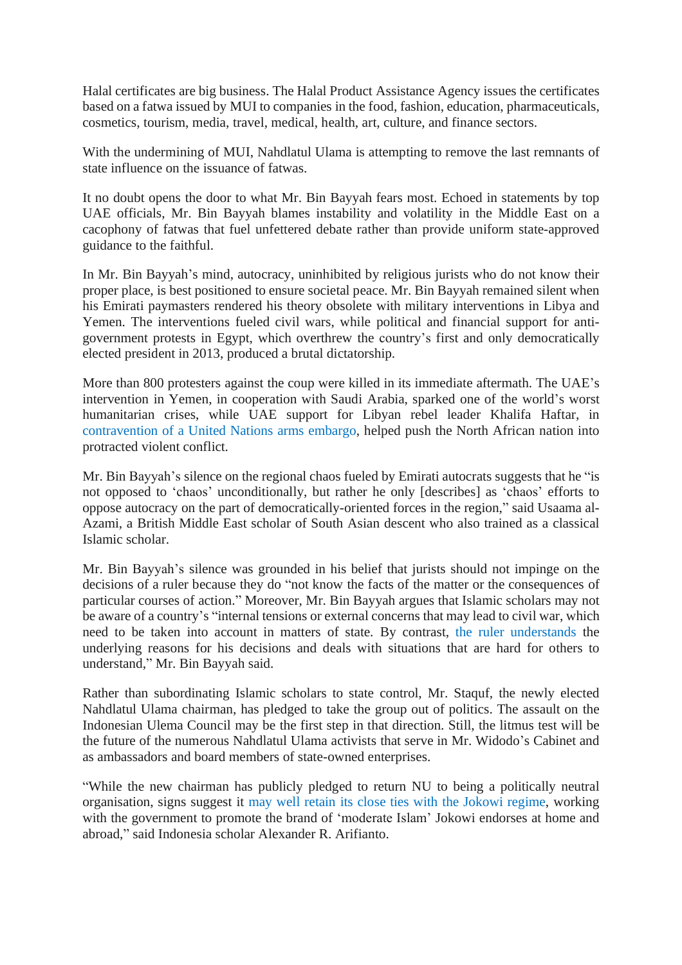Halal certificates are big business. The Halal Product Assistance Agency issues the certificates based on a fatwa issued by MUI to companies in the food, fashion, education, pharmaceuticals, cosmetics, tourism, media, travel, medical, health, art, culture, and finance sectors.

With the undermining of MUI, Nahdlatul Ulama is attempting to remove the last remnants of state influence on the issuance of fatwas.

It no doubt opens the door to what Mr. Bin Bayyah fears most. Echoed in statements by top UAE officials, Mr. Bin Bayyah blames instability and volatility in the Middle East on a cacophony of fatwas that fuel unfettered debate rather than provide uniform state-approved guidance to the faithful.

In Mr. Bin Bayyah's mind, autocracy, uninhibited by religious jurists who do not know their proper place, is best positioned to ensure societal peace. Mr. Bin Bayyah remained silent when his Emirati paymasters rendered his theory obsolete with military interventions in Libya and Yemen. The interventions fueled civil wars, while political and financial support for antigovernment protests in Egypt, which overthrew the country's first and only democratically elected president in 2013, produced a brutal dictatorship.

More than 800 protesters against the coup were killed in its immediate aftermath. The UAE's intervention in Yemen, in cooperation with Saudi Arabia, sparked one of the world's worst humanitarian crises, while UAE support for Libyan rebel leader Khalifa Haftar, in [contravention](https://email.mg2.substack.com/c/eJwlkE2OpDAMhU9T2YEgEAiLLHoz10BO4lDpyU8pMVPN7TtMSZYt2X5-1meA8MjlUq9cid1pp-uFKuG7BiTCws6KZfdWiVFOQghm1WxHKSTzdXcFMYIPisqJ7HXq4A2Qz-kW8HmRXLKnckYCmHUb3DDPm3bLhKtbuBQzl0YjfnzhtB6TQYX_sFw5IQvqSfSqj-nrwf-0eL_fffTWBkSohBf2Can172dbOQG74PUFHZRYO4vBt0sea_cER1C6M3UYNZQjM6_4wPkw8WkY-TZNPe-d5hJnYTcBi0Qtev_Dv9dS3GMe4sH7eupKYP72JkdWlHkSXCGXNm2mLhcIoc_luCnsbSWeydO1YwId0H4A0Qfzf2T7gQlLw293IDUu87ptclulWPiHx418kEKM28qat81NldQ3RKzR5lLx-gWpJZk-) of a United Nations arms embargo, helped push the North African nation into protracted violent conflict.

Mr. Bin Bayyah's silence on the regional chaos fueled by Emirati autocrats suggests that he "is not opposed to 'chaos' unconditionally, but rather he only [describes] as 'chaos' efforts to oppose autocracy on the part of democratically-oriented forces in the region," said Usaama al-Azami, a British Middle East scholar of South Asian descent who also trained as a classical Islamic scholar.

Mr. Bin Bayyah's silence was grounded in his belief that jurists should not impinge on the decisions of a ruler because they do "not know the facts of the matter or the consequences of particular courses of action." Moreover, Mr. Bin Bayyah argues that Islamic scholars may not be aware of a country's "internal tensions or external concerns that may lead to civil war, which need to be taken into account in matters of state. By contrast, [the ruler understands](https://email.mg2.substack.com/c/eJwlkMFuxCAMRL9muW2UQEjIgUMv_Y3IgLPLlkAKpm369WW7kmWNPB6N9CwQ3lI-9ZEKseda6TxQR_wuAYkws1owr95pOSghpWROj25QUjFf1i0j7uCDplyRHdUEb4F8is8AHyfFFbvrabaOG7EtmxSjXSaBAhcwYlROOTfjqxeq8xgtavzCfKaILOg70VEu4u3C39uYlD4KpYzdL5xUI3ToarsfOblqqTRJEI2_XyFcd8jw8E3BlaAghuvmP_-db_j0zGvec94LLvqBL0J0vNsMVzhKt0iYFBrZ-R_-mHPeLmO_33hXqikE9qOzaWdZ2zvBGVJubvBmSxlC6FK-PTGs7WWv0dO5YgQT0L0I0YvzP7P1hhFz4-9WID1M47wsapmVnPgLyJN5r6Qclpm1bpdaKuoH7Fh2l3LB8w8qWplp) the underlying reasons for his decisions and deals with situations that are hard for others to understand," Mr. Bin Bayyah said.

Rather than subordinating Islamic scholars to state control, Mr. Staquf, the newly elected Nahdlatul Ulama chairman, has pledged to take the group out of politics. The assault on the Indonesian Ulema Council may be the first step in that direction. Still, the litmus test will be the future of the numerous Nahdlatul Ulama activists that serve in Mr. Widodo's Cabinet and as ambassadors and board members of state-owned enterprises.

"While the new chairman has publicly pledged to return NU to being a politically neutral organisation, signs suggest it may well retain its close ties with the Jokowi [regime,](https://email.mg2.substack.com/c/eJwlUUGupSAQPM1jJ1GUJy5YzGauYRpolT8IBpqZ7-0_zksISTfVXVSVBcI95VtfqRB7rpXuC3XEfyUgEWZWC-bVOy0HNUopmdOTG5RUzJd1y4gn-KApV2RXNcFbIJ_iMyCmtxKKHXrZ7KAWtcwDCgdoAN0ihYLeKFhGnD-8UJ3HaFHjX8x3isiCPoiu8hp_vcTvdnx0rV08AJ0YTKo5Iq_RPwVHVznUhopwuABUQ1cDnFC6pqWzB_jcbWCxdNA5v23e1kCtn7zF7krBU_t6aOBKGVp1dyl3F1BOEXZse5nXoheiH8XYD2IZRy74ZoTCSTY58FZoJPff4mvOeXtN_bkLXqopBPYPt-lkWduD4A4pt9fgzZYaUeAp749za4OcTQzdK0YwAd3HVPpE89_mdceIuUXmViA9vKd5eWxV8i0-Hj4x9UrKYZlZ43apTUX9BSeW06Vc8P4BFtitTQ) working with the government to promote the brand of 'moderate Islam' Jokowi endorses at home and abroad," said Indonesia scholar Alexander R. Arifianto.